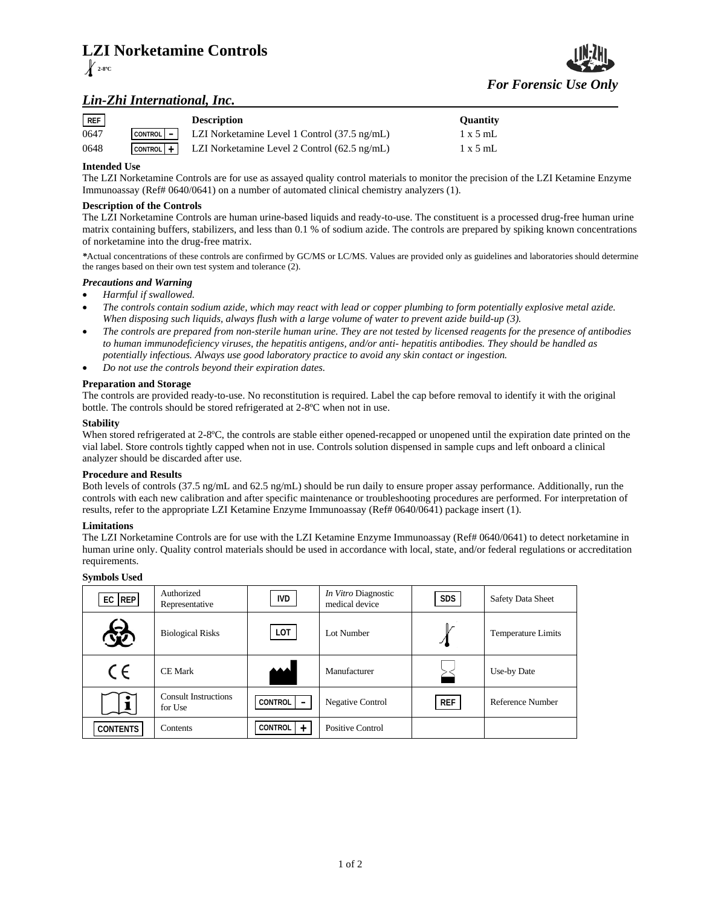# **LZI Norketamine Controls**



## *For Forensic Use Only*

### *Lin-Zhi International, Inc.*

| REF  | <b>Description</b>                                                                   | <b>Ouantity</b> |
|------|--------------------------------------------------------------------------------------|-----------------|
| 0647 | $\vert$ CONTROL $\vert - \vert$ LZI Norketamine Level 1 Control (37.5 ng/mL)         | $1 \times 5$ mL |
| 0648 | $\lfloor$ control $\rfloor$ + $\lfloor$ LZI Norketamine Level 2 Control (62.5 ng/mL) | $1 \times 5$ mL |

#### **Intended Use**

The LZI Norketamine Controls are for use as assayed quality control materials to monitor the precision of the LZI Ketamine Enzyme Immunoassay (Ref# 0640/0641) on a number of automated clinical chemistry analyzers (1).

#### **Description of the Controls**

The LZI Norketamine Controls are human urine-based liquids and ready-to-use. The constituent is a processed drug-free human urine matrix containing buffers, stabilizers, and less than 0.1 % of sodium azide. The controls are prepared by spiking known concentrations of norketamine into the drug-free matrix.

*\**Actual concentrations of these controls are confirmed by GC/MS or LC/MS. Values are provided only as guidelines and laboratories should determine the ranges based on their own test system and tolerance (2).

#### *Precautions and Warning*

- *Harmful if swallowed.*
- *The controls contain sodium azide, which may react with lead or copper plumbing to form potentially explosive metal azide. When disposing such liquids, always flush with a large volume of water to prevent azide build-up (3).*
- *The controls are prepared from non-sterile human urine. They are not tested by licensed reagents for the presence of antibodies to human immunodeficiency viruses, the hepatitis antigens, and/or anti- hepatitis antibodies. They should be handled as potentially infectious. Always use good laboratory practice to avoid any skin contact or ingestion.*
- *Do not use the controls beyond their expiration dates.*

#### **Preparation and Storage**

The controls are provided ready-to-use. No reconstitution is required. Label the cap before removal to identify it with the original bottle. The controls should be stored refrigerated at 2-8ºC when not in use.

#### **Stability**

When stored refrigerated at 2-8°C, the controls are stable either opened-recapped or unopened until the expiration date printed on the vial label. Store controls tightly capped when not in use. Controls solution dispensed in sample cups and left onboard a clinical analyzer should be discarded after use.

#### **Procedure and Results**

Both levels of controls (37.5 ng/mL and 62.5 ng/mL) should be run daily to ensure proper assay performance. Additionally, run the controls with each new calibration and after specific maintenance or troubleshooting procedures are performed. For interpretation of results, refer to the appropriate LZI Ketamine Enzyme Immunoassay (Ref# 0640/0641) package insert (1).

#### **Limitations**

The LZI Norketamine Controls are for use with the LZI Ketamine Enzyme Immunoassay (Ref# 0640/0641) to detect norketamine in human urine only. Quality control materials should be used in accordance with local, state, and/or federal regulations or accreditation requirements.

#### **Symbols Used**

| $EC$ REP        | Authorized<br>Representative           | IVD                                        | In Vitro Diagnostic<br>medical device | <b>SDS</b> | <b>Safety Data Sheet</b> |
|-----------------|----------------------------------------|--------------------------------------------|---------------------------------------|------------|--------------------------|
| 铋               | <b>Biological Risks</b>                | LOT                                        | Lot Number                            | $\chi$     | Temperature Limits       |
| CE              | <b>CE Mark</b>                         |                                            | Manufacturer                          |            | Use-by Date              |
|                 | <b>Consult Instructions</b><br>for Use | <b>CONTROL</b><br>$\overline{\phantom{0}}$ | <b>Negative Control</b>               | <b>REF</b> | Reference Number         |
| <b>CONTENTS</b> | Contents                               | CONTROL<br>$+$                             | Positive Control                      |            |                          |